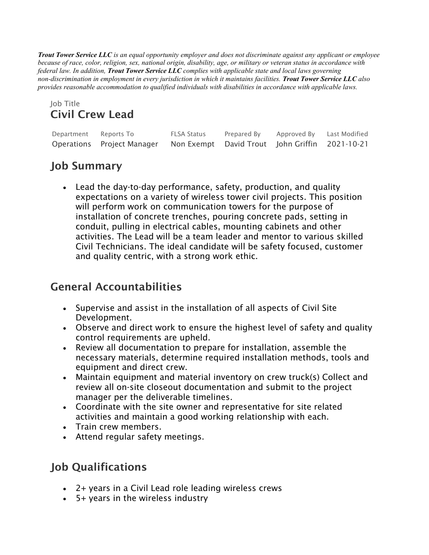*Trout Tower Service LLC is an equal opportunity employer and does not discriminate against any applicant or employee because of race, color, religion, sex, national origin, disability, age, or military or veteran status in accordance with federal law. In addition, Trout Tower Service LLC complies with applicable state and local laws governing non-discrimination in employment in every jurisdiction in which it maintains facilities. Trout Tower Service LLC also provides reasonable accommodation to qualified individuals with disabilities in accordance with applicable laws.*

#### Job Title Civil Crew Lead

| Department Reports To |                                                                           | FLSA Status | Prepared By | Approved By Last Modified |  |
|-----------------------|---------------------------------------------------------------------------|-------------|-------------|---------------------------|--|
|                       | Operations Project Manager Non Exempt David Trout John Griffin 2021-10-21 |             |             |                           |  |

# Job Summary

• Lead the day-to-day performance, safety, production, and quality expectations on a variety of wireless tower civil projects. This position will perform work on communication towers for the purpose of installation of concrete trenches, pouring concrete pads, setting in conduit, pulling in electrical cables, mounting cabinets and other activities. The Lead will be a team leader and mentor to various skilled Civil Technicians. The ideal candidate will be safety focused, customer and quality centric, with a strong work ethic.

# General Accountabilities

- Supervise and assist in the installation of all aspects of Civil Site Development.
- Observe and direct work to ensure the highest level of safety and quality control requirements are upheld.
- Review all documentation to prepare for installation, assemble the necessary materials, determine required installation methods, tools and equipment and direct crew.
- Maintain equipment and material inventory on crew truck(s) Collect and review all on-site closeout documentation and submit to the project manager per the deliverable timelines.
- Coordinate with the site owner and representative for site related activities and maintain a good working relationship with each.
- Train crew members.
- Attend regular safety meetings.

# Job Qualifications

- 2+ years in a Civil Lead role leading wireless crews
- 5+ years in the wireless industry